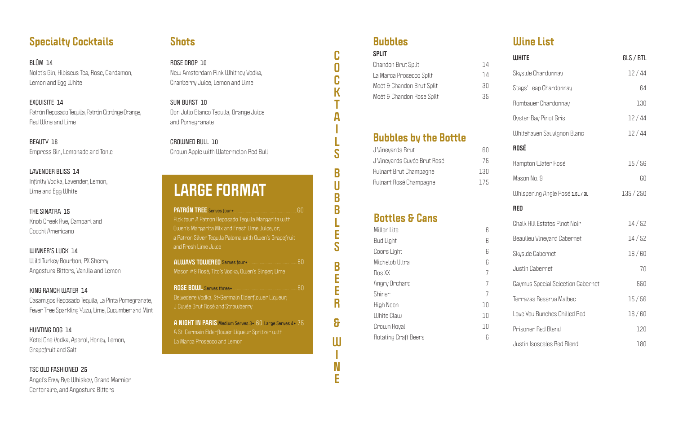## **Specialty Cocktails**

**EXQUISITE 14** Patrón Reposado Tequila, Patrón Citrónge Orange , Red IIIine and Lime

**BL ÜM 14** Nolet's Gin, Hibiscus Tea, Rose, Cardamon, Lemon and Egg White

**BEAUTY 16** Empress Gin, Lemonade and Tonic

**LAVENDER BLISS 14** Infinity Vodka, Lavender, Lemon, Lime and Egg White

**THE SINATRA 15** Knob Creek Rye, Campari and Cocchi Americano

**WINNER'S LUCK 14** Wild Turkey Bourbon, PX Sherry, Angostura Bitters, Vanilla and Lemon

**KING RANCH WATER 14** Casamigos Reposado Tequila, La Pinta Pomegranate, Fever Tree Sparkling Yuzu, Lime, Cucumber and Mint

**HUNTING DOG 14** Ketel One Vodka, Aperol, Honey, Lemon, Grapefruit and Salt

**TSC OLD FASHIONED 25** Angel's Envy Rye Whiskey, Grand Marnier Centenaire, and Angostura Bitters

## **Shots**

**ROSE DROP 10** New Amsterdam Pink Whitney Vodka, Cranberry Juice, Lemon and Lime

**SUN BURST 10** Don Julio Blanco Tequila, Orange Juice and Pomegranate

**CROWNED BULL 10** Crown Apple with Watermelon Red Bull

## **Bubbles**

## **Bubbles by the Bottle**

| Split                     |    |
|---------------------------|----|
| Chandon Brut Split        | 14 |
| La Marca Prosecco Split   | 14 |
| Moët & Chandon Brut Split | RП |
| Moët & Chandon Rose Split | 35 |
|                           |    |

| J Vineyards Brut            | ЫI   |
|-----------------------------|------|
| J Vineyards Cuvée Brut Rosé | 75   |
| Ruinart Brut Champagne      | 130. |
| Ruinart Rosé Champagne      | 175  |

**COCKTAILSBUBBLESBEER&WINE**

C

0

C

K

A

S

B

U

B

 $\overline{\mathsf{B}}$ 

Ē

S

 $\overline{\mathbf{B}}$ 

Ē

E

R

8

 $\mathsf{U}$ 

 $\mathbf N$ 

E

## **Bottles & Cans**

| Miller Lite          | 6  |
|----------------------|----|
| <b>Bud Light</b>     | 6  |
| Coors Light          | 6  |
| Michelob Ultra       | 6  |
| Dos XX               | 7  |
| Angry Orchard        | 7  |
| Shiner               | 7  |
| High Noon            | 10 |
| White Claw           | 10 |
| Crown Royal          | 10 |
| Rotating Craft Beers | 6  |
|                      |    |

## **Wine List**

| <b>WHITE</b>                         | GLS / BTL |
|--------------------------------------|-----------|
| Skyside Chardonnay                   | 12/44     |
| Stags' Leap Chardonnay               | 64        |
| Rombauer Chardonnay                  | 130       |
| Oyster Bay Pinot Gris                | 12/44     |
| <b>Whitehaven Sauvignon Blanc</b>    | 12/44     |
| <b>ROSÉ</b>                          |           |
| Hampton Water Rosé                   | 15/56     |
| Mason No. 9                          | 60        |
| Whispering Angle Rosé 1.5L / 3L      | 135/250   |
| RED                                  |           |
| <b>Chalk Hill Estates Pinot Noir</b> | 14/52     |
| <b>Beaulieu Vineyard Cabernet</b>    | 14/52     |
| Skyside Cabernet                     | 16/60     |
| Justin Cabernet                      | 70        |
| Caymus Special Selection Cabernet    | 550       |
| Terrazas Reserva Malbec              | 15/56     |
| Love You Bunches Chilled Red         | 16/60     |
| Prisoner Red Blend                   | 120       |
| <b>Justin Isosceles Red Blend</b>    | 180       |

|                                                         | RΠ |
|---------------------------------------------------------|----|
| Pick four. A Patrón Reposado Tequila Margarita with     |    |
| Owen's Margarita Mix and Fresh Lime Juice, or,          |    |
| a Patrón Silver Tequila Paloma with Owen's Grapefruit   |    |
| and Fresh Lime Juice                                    |    |
|                                                         | ĥΠ |
| Mason #9 Rosé, Tito's Vodka, Owen's Ginger, Lime        |    |
| <b>ROSE BOWL Serves three+</b>                          | RΠ |
| Belvedere Vodka, St-Germain Elderflower Liqueur,        |    |
| J Cuvée Brut Rosé and Strawberry                        |    |
| A NIGHT IN PARIS Medium Serves 3+ 60 Large Serves 4+ 75 |    |
| A St-Germain Elderflower Liqueur Spritzer with          |    |
| La Marca Prosecco and Lemon                             |    |

# **LARGE FORMAT**